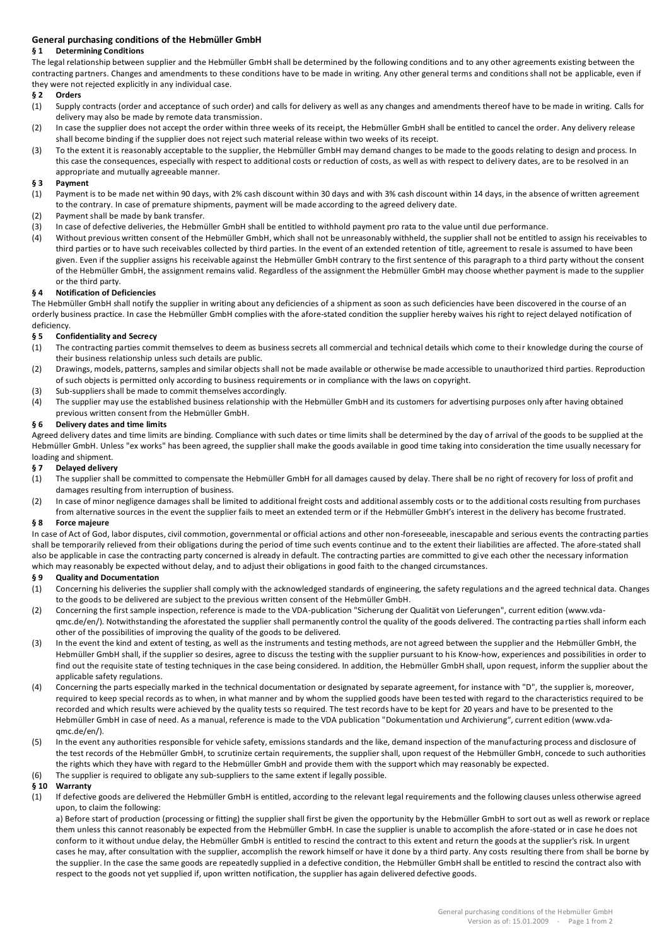# **General purchasing conditions of the Hebmüller GmbH**

## **§ 1 Determining Conditions**

The legal relationship between supplier and the Hebmüller GmbH shall be determined by the following conditions and to any other agreements existing between the contracting partners. Changes and amendments to these conditions have to be made in writing. Any other general terms and conditions shall not be applicable, even if they were not rejected explicitly in any individual case.

## **§ 2 Orders**

- (1) Supply contracts (order and acceptance of such order) and calls for delivery as well as any changes and amendments thereof have to be made in writing. Calls for delivery may also be made by remote data transmission.
- (2) In case the supplier does not accept the order within three weeks of its receipt, the Hebmüller GmbH shall be entitled to cancel the order. Any delivery release shall become binding if the supplier does not reject such material release within two weeks of its receipt.
- (3) To the extent it is reasonably acceptable to the supplier, the Hebmüller GmbH may demand changes to be made to the goods relating to design and process. In this case the consequences, especially with respect to additional costs or reduction of costs, as well as with respect to delivery dates, are to be resolved in an appropriate and mutually agreeable manner.

## **§ 3 Payment**

- (1) Payment is to be made net within 90 days, with 2% cash discount within 30 days and with 3% cash discount within 14 days, in the absence of written agreement to the contrary. In case of premature shipments, payment will be made according to the agreed delivery date.
- 
- (2) Payment shall be made by bank transfer.<br>(3) In case of defective deliveries, the Hebmi In case of defective deliveries, the Hebmüller GmbH shall be entitled to withhold payment pro rata to the value until due performance.
- (4) Without previous written consent of the Hebmüller GmbH, which shall not be unreasonably withheld, the supplier shall not be entitled to assign his receivables to third parties or to have such receivables collected by third parties. In the event of an extended retention of title, agreement to resale is assumed to have been given. Even if the supplier assigns his receivable against the Hebmüller GmbH contrary to the first sentence of this paragraph to a third party without the consent of the Hebmüller GmbH, the assignment remains valid. Regardless of the assignment the Hebmüller GmbH may choose whether payment is made to the supplier or the third party.

#### **§ 4 Notification of Deficiencies**

The Hebmüller GmbH shall notify the supplier in writing about any deficiencies of a shipment as soon as such deficiencies have been discovered in the course of an orderly business practice. In case the Hebmüller GmbH complies with the afore-stated condition the supplier hereby waives his right to reject delayed notification of

#### deficiency.<br>§ 5 Con **§ 5 Confidentiality and Secrecy**

- (1) The contracting parties commit themselves to deem as business secrets all commercial and technical details which come to their knowledge during the course of their business relationship unless such details are public.
- (2) Drawings, models, patterns, samples and similar objects shall not be made available or otherwise be made accessible to unauthorized third parties. Reproduction of such objects is permitted only according to business requirements or in compliance with the laws on copyright.
- (3) Sub-suppliers shall be made to commit themselves accordingly.
- (4) The supplier may use the established business relationship with the Hebmüller GmbH and its customers for advertising purposes only after having obtained previous written consent from the Hebmüller GmbH.

#### **§ 6 Delivery dates and time limits**

Agreed delivery dates and time limits are binding. Compliance with such dates or time limits shall be determined by the day of arrival of the goods to be supplied at the Hebmüller GmbH. Unless "ex works" has been agreed, the supplier shall make the goods available in good time taking into consideration the time usually necessary for loading and shipment.

# **§ 7 Delayed delivery**

- (1) The supplier shall be committed to compensate the Hebmüller GmbH for all damages caused by delay. There shall be no right of recovery for loss of profit and damages resulting from interruption of business.
- (2) In case of minor negligence damages shall be limited to additional freight costs and additional assembly costs or to the additional costs resulting from purchases from alternative sources in the event the supplier fails to meet an extended term or if the Hebmüller GmbH's interest in the delivery has become frustrated.

## **§ 8 Force majeure**

In case of Act of God, labor disputes, civil commotion, governmental or official actions and other non-foreseeable, inescapable and serious events the contracting parties shall be temporarily relieved from their obligations during the period of time such events continue and to the extent their liabilities are affected. The afore-stated shall also be applicable in case the contracting party concerned is already in default. The contracting parties are committed to give each other the necessary information which may reasonably be expected without delay, and to adjust their obligations in good faith to the changed circumstances.

#### **§ 9 Quality and Documentation**

- (1) Concerning his deliveries the supplier shall comply with the acknowledged standards of engineering, the safety regulations and the agreed technical data. Changes to the goods to be delivered are subject to the previous written consent of the Hebmüller GmbH.
- (2) Concerning the first sample inspection, reference is made to the VDA-publication "Sicherung der Qualität von Lieferungen", current edition (www.vdaqmc.de/en/). Notwithstanding the aforestated the supplier shall permanently control the quality of the goods delivered. The contracting pa rties shall inform each other of the possibilities of improving the quality of the goods to be delivered.
- (3) In the event the kind and extent of testing, as well as the instruments and testing methods, are not agreed between the supplier and the Hebmüller GmbH, the Hebmüller GmbH shall, if the supplier so desires, agree to discuss the testing with the supplier pursuant to his Know-how, experiences and possibilities in order to find out the requisite state of testing techniques in the case being considered. In addition, the Hebmüller GmbH shall, upon request, inform the supplier about the applicable safety regulations.
- (4) Concerning the parts especially marked in the technical documentation or designated by separate agreement, for instance with "D", the supplier is, moreover, required to keep special records as to when, in what manner and by whom the supplied goods have been tested with regard to the characteristics required to be recorded and which results were achieved by the quality tests so required. The test records have to be kept for 20 years and have to be presented to the Hebmüller GmbH in case of need. As a manual, reference is made to the VDA publication "Dokumentation und Archivierung", current edition (www.vdaqmc.de/en/).
- (5) In the event any authorities responsible for vehicle safety, emissions standards and the like, demand inspection of the manufacturing process and disclosure of the test records of the Hebmüller GmbH, to scrutinize certain requirements, the supplier shall, upon request of the Hebmüller GmbH, concede to such authorities the rights which they have with regard to the Hebmüller GmbH and provide them with the support which may reasonably be expected.
- (6) The supplier is required to obligate any sub-suppliers to the same extent if legally possible.

## **§ 10 Warranty**

(1) If defective goods are delivered the Hebmüller GmbH is entitled, according to the relevant legal requirements and the following clauses unless otherwise agreed upon, to claim the following:

a) Before start of production (processing or fitting) the supplier shall first be given the opportunity by the Hebmüller GmbH to sort out as well as rework or replace them unless this cannot reasonably be expected from the Hebmüller GmbH. In case the supplier is unable to accomplish the afore-stated or in case he does not conform to it without undue delay, the Hebmüller GmbH is entitled to rescind the contract to this extent and return the goods at the supplier's risk. In urgent cases he may, after consultation with the supplier, accomplish the rework himself or have it done by a third party. Any costs resulting there from shall be borne by the supplier. In the case the same goods are repeatedly supplied in a defective condition, the Hebmüller GmbH shall be entitled to rescind the contract also with respect to the goods not yet supplied if, upon written notification, the supplier has again delivered defective goods.